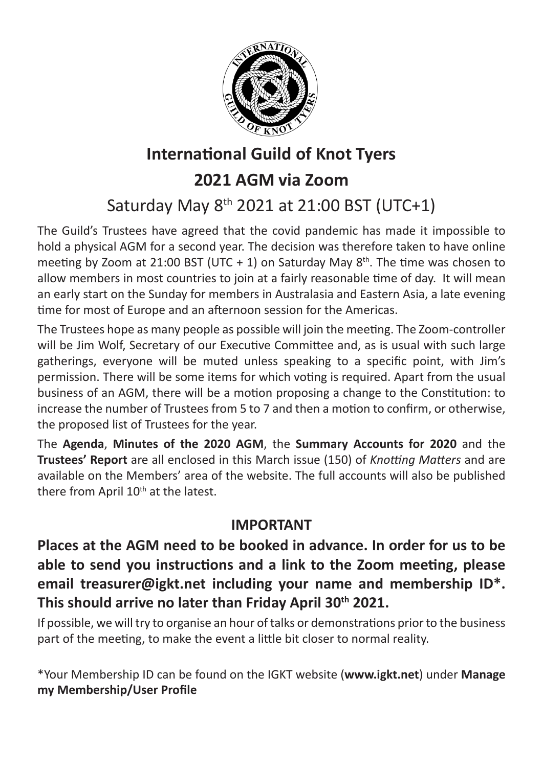

### **International Guild of Knot Tyers**

### **2021 AGM via Zoom**

## Saturday May 8th 2021 at 21:00 BST (UTC+1)

The Guild's Trustees have agreed that the covid pandemic has made it impossible to hold a physical AGM for a second year. The decision was therefore taken to have online meeting by Zoom at 21:00 BST (UTC + 1) on Saturday May  $8<sup>th</sup>$ . The time was chosen to allow members in most countries to join at a fairly reasonable time of day. It will mean an early start on the Sunday for members in Australasia and Eastern Asia, a late evening time for most of Europe and an afternoon session for the Americas.

The Trustees hope as many people as possible will join the meeting. The Zoom-controller will be Jim Wolf, Secretary of our Executive Committee and, as is usual with such large gatherings, everyone will be muted unless speaking to a specific point, with Jim's permission. There will be some items for which voting is required. Apart from the usual business of an AGM, there will be a motion proposing a change to the Constitution: to increase the number of Trustees from 5 to 7 and then a motion to confirm, or otherwise, the proposed list of Trustees for the year.

The **Agenda**, **Minutes of the 2020 AGM**, the **Summary Accounts for 2020** and the **Trustees' Report** are all enclosed in this March issue (150) of *Knotting Matters* and are available on the Members' area of the website. The full accounts will also be published there from April 10<sup>th</sup> at the latest.

### **IMPORTANT**

**Places at the AGM need to be booked in advance. In order for us to be able to send you instructions and a link to the Zoom meeting, please email treasurer@igkt.net including your name and membership ID\*.**  This should arrive no later than Friday April 30<sup>th</sup> 2021.

If possible, we will try to organise an hour of talks or demonstrations prior to the business part of the meeting, to make the event a little bit closer to normal reality.

\*Your Membership ID can be found on the IGKT website (**www.igkt.net**) under **Manage my Membership/User Profile**